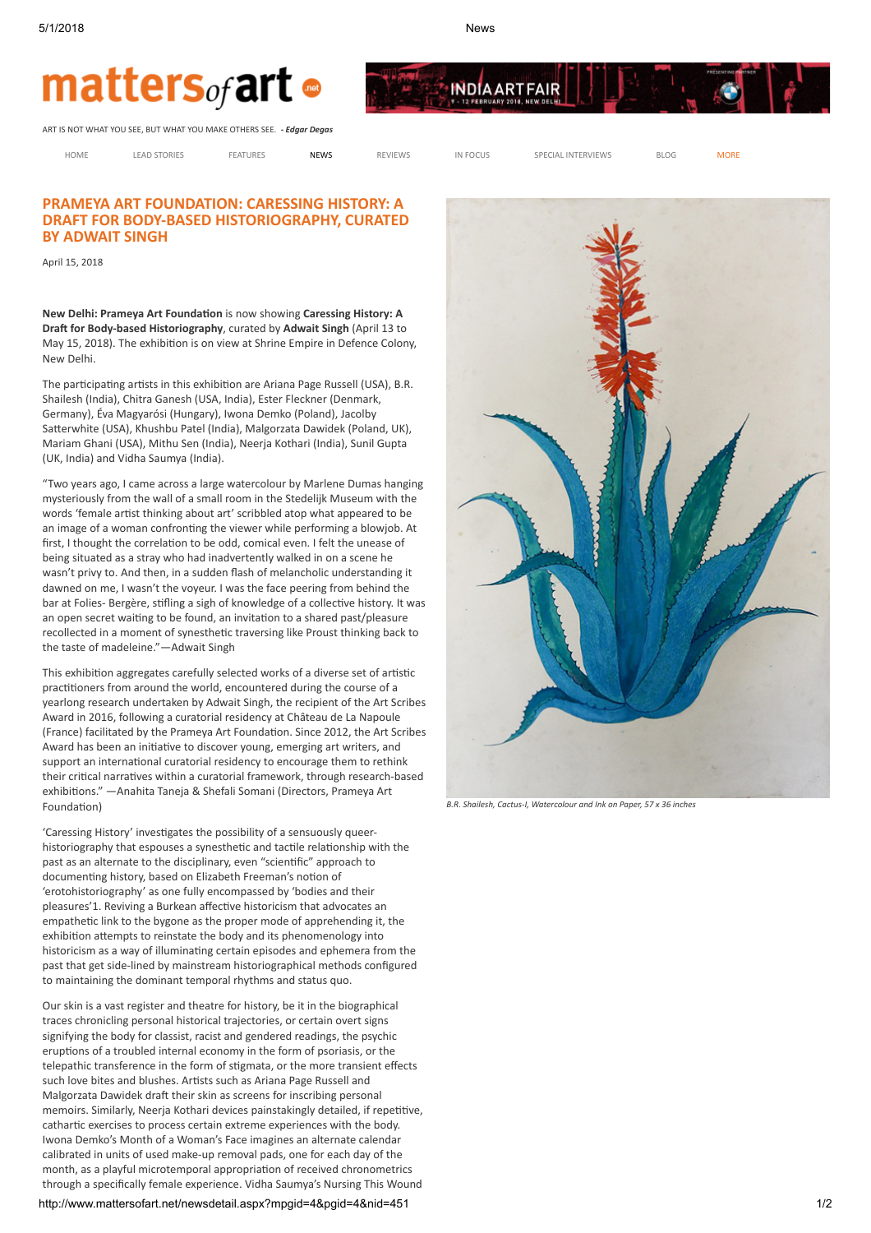

**INDIAARTFAIR** 

## matters<sub>of</sub> art •

ART IS NOT WHAT YOU SEE, BUT WHAT YOU MAKE OTHERS SEE. - Edgar Degas

[HOME](javascript:__doPostBack() [LEAD STORIES](javascript:__doPostBack() [FEATURES](javascript:__doPostBack() **[NEWS](javascript:__doPostBack() R**EVIEWS IN FOCUS SPECIAL INTERVIEWS [BLOG](javascript:__doPostBack() [MORE](javascript:__doPostBack()

## PRAMEYA ART FOUNDATION: CARESSING HISTORY: A DRAFT FOR BODY-BASED HISTORIOGRAPHY, CURATED BY ADWAIT SINGH

April 15, 2018

New Delhi: Prameya Art Foundation is now showing Caressing History: A Draft for Body-based Historiography, curated by Adwait Singh (April 13 to May 15, 2018). The exhibition is on view at Shrine Empire in Defence Colony, New Delhi.

The participating artists in this exhibition are Ariana Page Russell (USA), B.R. Shailesh (India), Chitra Ganesh (USA, India), Ester Fleckner (Denmark, Germany), Éva Magyarósi (Hungary), Iwona Demko (Poland), Jacolby Satterwhite (USA), Khushbu Patel (India), Malgorzata Dawidek (Poland, UK), Mariam Ghani (USA), Mithu Sen (India), Neerja Kothari (India), Sunil Gupta (UK, India) and Vidha Saumya (India).

"Two years ago, I came across a large watercolour by Marlene Dumas hanging mysteriously from the wall of a small room in the Stedelijk Museum with the words 'female artist thinking about art' scribbled atop what appeared to be an image of a woman confronting the viewer while performing a blowjob. At first. I thought the correlation to be odd, comical even. I felt the unease of being situated as a stray who had inadvertently walked in on a scene he wasn't privy to. And then, in a sudden flash of melancholic understanding it dawned on me, I wasn't the voyeur. I was the face peering from behind the bar at Folies- Bergère, stifling a sigh of knowledge of a collective history. It was an open secret waiting to be found, an invitation to a shared past/pleasure recollected in a moment of synesthetic traversing like Proust thinking back to the taste of madeleine."—Adwait Singh

This exhibition aggregates carefully selected works of a diverse set of artistic practitioners from around the world, encountered during the course of a yearlong research undertaken by Adwait Singh, the recipient of the Art Scribes Award in 2016, following a curatorial residency at Château de La Napoule (France) facilitated by the Prameya Art Foundation. Since 2012, the Art Scribes Award has been an initiative to discover young, emerging art writers, and support an international curatorial residency to encourage them to rethink their critical narratives within a curatorial framework, through research-based exhibitions." — Anahita Taneja & Shefali Somani (Directors, Prameya Art Foundation)

'Caressing History' investigates the possibility of a sensuously queerhistoriography that espouses a synesthetic and tactile relationship with the past as an alternate to the disciplinary, even "scientific" approach to documenting history, based on Elizabeth Freeman's notion of 'erotohistoriography' as one fully encompassed by 'bodies and their pleasures'1. Reviving a Burkean affective historicism that advocates an empathetic link to the bygone as the proper mode of apprehending it, the exhibition attempts to reinstate the body and its phenomenology into historicism as a way of illuminating certain episodes and ephemera from the past that get side-lined by mainstream historiographical methods configured to maintaining the dominant temporal rhythms and status quo.

Our skin is a vast register and theatre for history, be it in the biographical traces chronicling personal historical trajectories, or certain overt signs signifying the body for classist, racist and gendered readings, the psychic eruptions of a troubled internal economy in the form of psoriasis, or the telepathic transference in the form of stigmata, or the more transient effects such love bites and blushes. Artists such as Ariana Page Russell and Malgorzata Dawidek draft their skin as screens for inscribing personal memoirs. Similarly, Neerja Kothari devices painstakingly detailed, if repetitive, cathartic exercises to process certain extreme experiences with the body. Iwona Demko's Month of a Woman's Face imagines an alternate calendar calibrated in units of used make-up removal pads, one for each day of the month, as a playful microtemporal appropriation of received chronometrics through a specifically female experience. Vidha Saumya's Nursing This Wound

http://www.mattersofart.net/newsdetail.aspx?mpgid=4&pgid=4&nid=451 1/2



B.R. Shailesh, Cactus-I, Watercolour and Ink on Paper, 57 x 36 inches